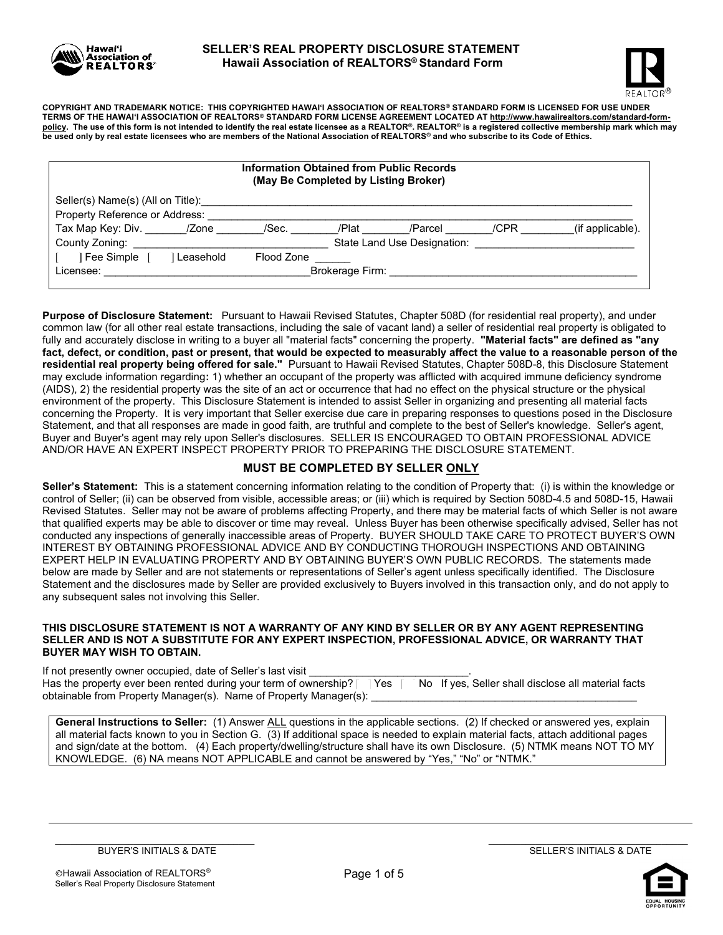



COPYRIGHT AND TRADEMARK NOTICE: THIS COPYRIGHTED HAWAI'I ASSOCIATION OF REALTORS® STANDARD FORM IS LICENSED FOR USE UNDER TERMS OF THE HAWAI'I ASSOCIATION OF REALTORS® STANDARD FORM LICENSE AGREEMENT LOCATED AT http://www.hawaiirealtors.com/standard-formpolicy. The use of this form is not intended to identify the real estate licensee as a REALTOR®. REALTOR® is a registered collective membership mark which may be used only by real estate licensees who are members of the National Association of REALTORS® and who subscribe to its Code of Ethics.

| <b>Information Obtained from Public Records</b><br>(May Be Completed by Listing Broker) |           |            |                 |                             |      |                  |  |  |
|-----------------------------------------------------------------------------------------|-----------|------------|-----------------|-----------------------------|------|------------------|--|--|
| Seller(s) Name(s) (All on Title):                                                       |           |            |                 |                             |      |                  |  |  |
| Property Reference or Address:                                                          |           |            |                 |                             |      |                  |  |  |
| Tax Map Key: Div. _______ /Zone                                                         |           | /Sec.      | /Plat           | /Parcel                     | /CPR | (if applicable). |  |  |
| County Zoning:                                                                          |           |            |                 | State Land Use Designation: |      |                  |  |  |
| Fee Simple                                                                              | Leasehold | Flood Zone |                 |                             |      |                  |  |  |
| Licensee:                                                                               |           |            | Brokerage Firm: |                             |      |                  |  |  |

Purpose of Disclosure Statement: Pursuant to Hawaii Revised Statutes, Chapter 508D (for residential real property), and under common law (for all other real estate transactions, including the sale of vacant land) a seller of residential real property is obligated to fully and accurately disclose in writing to a buyer all "material facts" concerning the property. "Material facts" are defined as "any fact, defect, or condition, past or present, that would be expected to measurably affect the value to a reasonable person of the residential real property being offered for sale." Pursuant to Hawaii Revised Statutes, Chapter 508D-8, this Disclosure Statement may exclude information regarding: 1) whether an occupant of the property was afflicted with acquired immune deficiency syndrome (AIDS), 2) the residential property was the site of an act or occurrence that had no effect on the physical structure or the physical environment of the property. This Disclosure Statement is intended to assist Seller in organizing and presenting all material facts concerning the Property. It is very important that Seller exercise due care in preparing responses to questions posed in the Disclosure Statement, and that all responses are made in good faith, are truthful and complete to the best of Seller's knowledge. Seller's agent, Buyer and Buyer's agent may rely upon Seller's disclosures. SELLER IS ENCOURAGED TO OBTAIN PROFESSIONAL ADVICE AND/OR HAVE AN EXPERT INSPECT PROPERTY PRIOR TO PREPARING THE DISCLOSURE STATEMENT.

### MUST BE COMPLETED BY SELLER ONLY

Seller's Statement: This is a statement concerning information relating to the condition of Property that: (i) is within the knowledge or control of Seller; (ii) can be observed from visible, accessible areas; or (iii) which is required by Section 508D-4.5 and 508D-15, Hawaii Revised Statutes. Seller may not be aware of problems affecting Property, and there may be material facts of which Seller is not aware that qualified experts may be able to discover or time may reveal. Unless Buyer has been otherwise specifically advised, Seller has not conducted any inspections of generally inaccessible areas of Property. BUYER SHOULD TAKE CARE TO PROTECT BUYER'S OWN INTEREST BY OBTAINING PROFESSIONAL ADVICE AND BY CONDUCTING THOROUGH INSPECTIONS AND OBTAINING EXPERT HELP IN EVALUATING PROPERTY AND BY OBTAINING BUYER'S OWN PUBLIC RECORDS. The statements made below are made by Seller and are not statements or representations of Seller's agent unless specifically identified. The Disclosure Statement and the disclosures made by Seller are provided exclusively to Buyers involved in this transaction only, and do not apply to any subsequent sales not involving this Seller.

#### THIS DISCLOSURE STATEMENT IS NOT A WARRANTY OF ANY KIND BY SELLER OR BY ANY AGENT REPRESENTING SELLER AND IS NOT A SUBSTITUTE FOR ANY EXPERT INSPECTION, PROFESSIONAL ADVICE, OR WARRANTY THAT BUYER MAY WISH TO OBTAIN.

| If not presently owner occupied, date of Seller's last visit                                                                 |  |  |  |
|------------------------------------------------------------------------------------------------------------------------------|--|--|--|
| Has the property ever been rented during your term of ownership?   Yes   No If yes, Seller shall disclose all material facts |  |  |  |
| obtainable from Property Manager(s). Name of Property Manager(s):                                                            |  |  |  |

General Instructions to Seller: (1) Answer ALL questions in the applicable sections. (2) If checked or answered yes, explain all material facts known to you in Section G. (3) If additional space is needed to explain material facts, attach additional pages and sign/date at the bottom. (4) Each property/dwelling/structure shall have its own Disclosure. (5) NTMK means NOT TO MY KNOWLEDGE. (6) NA means NOT APPLICABLE and cannot be answered by "Yes," "No" or "NTMK."

\_\_\_\_\_\_\_\_\_\_\_\_\_\_\_\_\_\_\_\_\_\_\_\_\_\_\_\_\_\_\_\_\_\_\_\_\_\_ BUYER'S INITIALS & DATE

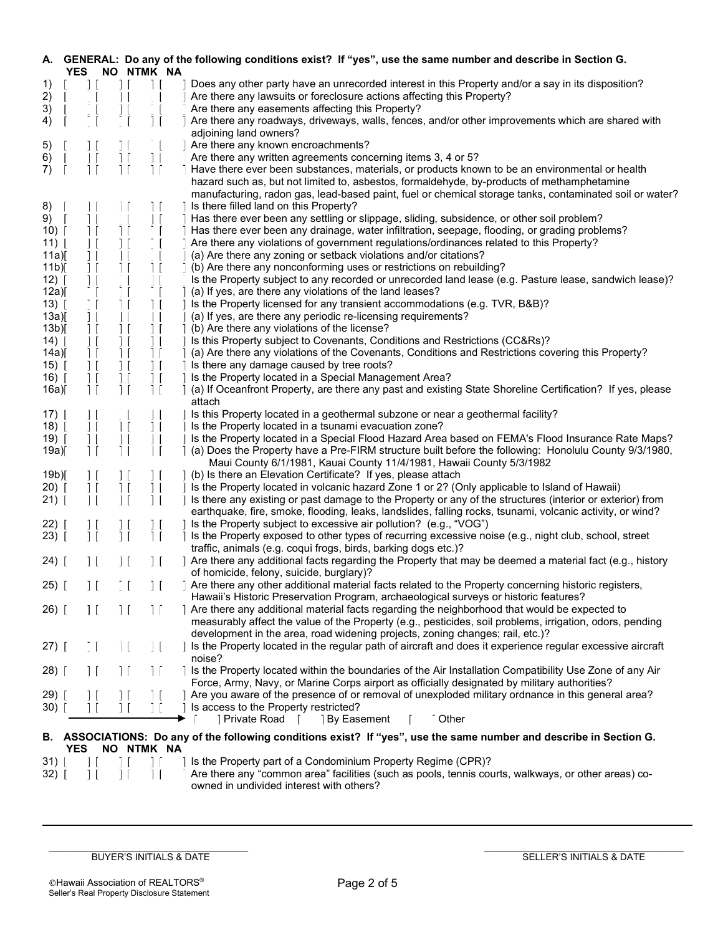| А.                  | YES.            | NO NTMK NA                                         | GENERAL: Do any of the following conditions exist? If "yes", use the same number and describe in Section G.                                                                                           |
|---------------------|-----------------|----------------------------------------------------|-------------------------------------------------------------------------------------------------------------------------------------------------------------------------------------------------------|
| 1)                  | $\Box$          | 11                                                 | Does any other party have an unrecorded interest in this Property and/or a say in its disposition?                                                                                                    |
| 2)                  |                 |                                                    | Are there any lawsuits or foreclosure actions affecting this Property?                                                                                                                                |
| 3)                  |                 |                                                    | Are there any easements affecting this Property?                                                                                                                                                      |
| 4)                  |                 | $\vert \vert$                                      | Are there any roadways, driveways, walls, fences, and/or other improvements which are shared with                                                                                                     |
|                     |                 |                                                    | adjoining land owners?                                                                                                                                                                                |
| 5)                  |                 |                                                    | Are there any known encroachments?                                                                                                                                                                    |
| 6)                  |                 |                                                    | Are there any written agreements concerning items 3, 4 or 5?                                                                                                                                          |
| 7)                  |                 |                                                    | Have there ever been substances, materials, or products known to be an environmental or health                                                                                                        |
|                     |                 |                                                    | hazard such as, but not limited to, asbestos, formaldehyde, by-products of methamphetamine<br>manufacturing, radon gas, lead-based paint, fuel or chemical storage tanks, contaminated soil or water? |
| 8)                  |                 |                                                    | Is there filled land on this Property?                                                                                                                                                                |
| 9)                  |                 |                                                    | Has there ever been any settling or slippage, sliding, subsidence, or other soil problem?                                                                                                             |
| $10)$ [             | 11              |                                                    | Has there ever been any drainage, water infiltration, seepage, flooding, or grading problems?                                                                                                         |
| $11)$               |                 |                                                    | Are there any violations of government regulations/ordinances related to this Property?                                                                                                               |
| 11a)[               |                 |                                                    | (a) Are there any zoning or setback violations and/or citations?                                                                                                                                      |
| 11b)                |                 |                                                    | (b) Are there any nonconforming uses or restrictions on rebuilding?                                                                                                                                   |
| $12)$ [             |                 |                                                    | Is the Property subject to any recorded or unrecorded land lease (e.g. Pasture lease, sandwich lease)?                                                                                                |
| 12a)                |                 |                                                    | (a) If yes, are there any violations of the land leases?                                                                                                                                              |
| $13)$ [             |                 | $\vert \vert$                                      | Is the Property licensed for any transient accommodations (e.g. TVR, B&B)?                                                                                                                            |
| 13a)[               |                 |                                                    | (a) If yes, are there any periodic re-licensing requirements?                                                                                                                                         |
| $13b$ <sup>[]</sup> | $\vert$ $\vert$ | $\vert$ [<br>$\vert$ $\vert$                       | (b) Are there any violations of the license?                                                                                                                                                          |
| (14)                |                 | $\vert \vert$                                      | Is this Property subject to Covenants, Conditions and Restrictions (CC&Rs)?                                                                                                                           |
| 14a)                |                 | 11                                                 | (a) Are there any violations of the Covenants, Conditions and Restrictions covering this Property?                                                                                                    |
| $15)$               |                 |                                                    | Is there any damage caused by tree roots?                                                                                                                                                             |
| 16) [               |                 | $\vert \vert$                                      | Is the Property located in a Special Management Area?                                                                                                                                                 |
| 16a)[               |                 |                                                    | (a) If Oceanfront Property, are there any past and existing State Shoreline Certification? If yes, please                                                                                             |
|                     |                 |                                                    | attach                                                                                                                                                                                                |
|                     |                 |                                                    |                                                                                                                                                                                                       |
| $17)$ [             | $\vert \vert$   | $\overline{1}$                                     | Is this Property located in a geothermal subzone or near a geothermal facility?                                                                                                                       |
| $18)$               | $\mathbb{R}^2$  |                                                    | Is the Property located in a tsunami evacuation zone?                                                                                                                                                 |
| 19)「                | $\vert \vert$   |                                                    | Is the Property located in a Special Flood Hazard Area based on FEMA's Flood Insurance Rate Maps?                                                                                                     |
| 19a)                | $\vert \vert$   |                                                    | (a) Does the Property have a Pre-FIRM structure built before the following: Honolulu County 9/3/1980,                                                                                                 |
|                     |                 |                                                    | Maui County 6/1/1981, Kauai County 11/4/1981, Hawaii County 5/3/1982                                                                                                                                  |
| 19 <sub>b</sub>     | $\vert$ [       | $\vert$ $\vert$<br>$\perp$                         | (b) Is there an Elevation Certificate? If yes, please attach                                                                                                                                          |
| (20)                | H               | $\perp$<br>$\begin{matrix} 1 \ 1 \ 1 \end{matrix}$ | Is the Property located in volcanic hazard Zone 1 or 2? (Only applicable to Island of Hawaii)                                                                                                         |
| 21)                 |                 |                                                    | Is there any existing or past damage to the Property or any of the structures (interior or exterior) from                                                                                             |
|                     |                 |                                                    | earthquake, fire, smoke, flooding, leaks, landslides, falling rocks, tsunami, volcanic activity, or wind?                                                                                             |
| $22)$ [             | 11              |                                                    | Is the Property subject to excessive air pollution? (e.g., "VOG")                                                                                                                                     |
| 23)                 | $\vert \vert$   | $\vert \vert$<br>$\overline{\phantom{a}}$          | Is the Property exposed to other types of recurring excessive noise (e.g., night club, school, street                                                                                                 |
|                     |                 |                                                    | traffic, animals (e.g. coqui frogs, birds, barking dogs etc.)?                                                                                                                                        |
| 24) [               | H               | $\vert \vert$<br>$\mathbf{1}$ $\mathbf{0}$         | Are there any additional facts regarding the Property that may be deemed a material fact (e.g., history<br>of homicide, felony, suicide, burglary)?                                                   |
| 25) [               |                 |                                                    | Are there any other additional material facts related to the Property concerning historic registers,                                                                                                  |
|                     |                 |                                                    | Hawaii's Historic Preservation Program, archaeological surveys or historic features?                                                                                                                  |
| $26)$ [             | 11              | 11<br>$\perp$                                      | Are there any additional material facts regarding the neighborhood that would be expected to                                                                                                          |
|                     |                 |                                                    | measurably affect the value of the Property (e.g., pesticides, soil problems, irrigation, odors, pending                                                                                              |
|                     |                 |                                                    | development in the area, road widening projects, zoning changes; rail, etc.)?                                                                                                                         |
|                     |                 |                                                    | Is the Property located in the regular path of aircraft and does it experience regular excessive aircraft                                                                                             |
| $27)$ [             |                 |                                                    | noise?                                                                                                                                                                                                |
|                     |                 |                                                    |                                                                                                                                                                                                       |
| 28)                 | $\vert \vert$   | $\mathbb{L}$                                       | Is the Property located within the boundaries of the Air Installation Compatibility Use Zone of any Air                                                                                               |
|                     |                 |                                                    | Force, Army, Navy, or Marine Corps airport as officially designated by military authorities?                                                                                                          |
| 29) [               |                 |                                                    | Are you aware of the presence of or removal of unexploded military ordnance in this general area?                                                                                                     |
| 30)                 |                 |                                                    | Is access to the Property restricted?                                                                                                                                                                 |
|                     |                 |                                                    | Private Road<br><b>Other</b><br><b>By Easement</b>                                                                                                                                                    |
|                     |                 |                                                    | B. ASSOCIATIONS: Do any of the following conditions exist? If "yes", use the same number and describe in Section G.                                                                                   |
|                     | YES.            | NO NTMK NA                                         |                                                                                                                                                                                                       |
| 31)                 |                 |                                                    | Is the Property part of a Condominium Property Regime (CPR)?                                                                                                                                          |
| 32)                 |                 |                                                    | Are there any "common area" facilities (such as pools, tennis courts, walkways, or other areas) co-                                                                                                   |

owned in undivided interest with others?

 $\mathcal{L}_\text{max}$ BUYER'S INITIALS & DATE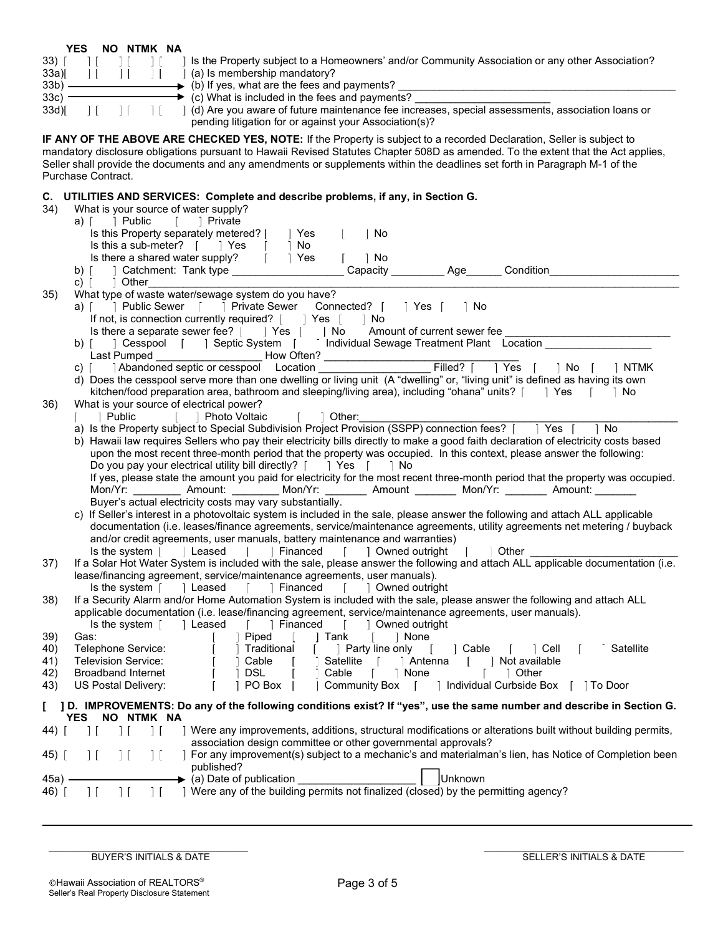|         | YES | NΟ | <b>NTMK</b> | NΑ |
|---------|-----|----|-------------|----|
| 33)     |     |    |             |    |
| 33a)    |     |    |             |    |
| $33b$ ) |     |    |             |    |
| 33c)    |     |    |             |    |
| 33d     |     |    |             |    |

Is the Property subject to a Homeowners' and/or Community Association or any other Association? (a) Is membership mandatory?

(b) If yes, what are the fees and payments?

 $\overline{3}$  (c) What is included in the fees and payments?

 $(d)$  Are you aware of future maintenance fee increases, special assessments, association loans or pending litigation for or against your Association(s)?

IF ANY OF THE ABOVE ARE CHECKED YES, NOTE: If the Property is subject to a recorded Declaration, Seller is subject to mandatory disclosure obligations pursuant to Hawaii Revised Statutes Chapter 508D as amended. To the extent that the Act applies, Seller shall provide the documents and any amendments or supplements within the deadlines set forth in Paragraph M-1 of the Purchase Contract.

## C. UTILITIES AND SERVICES: Complete and describe problems, if any, in Section G.

| 34)    | What is your source of water supply?                                                                                                                                                                  |
|--------|-------------------------------------------------------------------------------------------------------------------------------------------------------------------------------------------------------|
|        | a) [ ] Public [ ] Private                                                                                                                                                                             |
|        | Is this Property separately metered? [<br>1 Yes<br>∃ No                                                                                                                                               |
|        | Is this a sub-meter? [ Yes [<br>∣No                                                                                                                                                                   |
|        | Is there a shared water supply? [ ] Yes<br>$\mathbb{R}$<br>  No                                                                                                                                       |
|        | Condition                                                                                                                                                                                             |
|        | c) $\lceil \cdot \cdot \rceil$ Other                                                                                                                                                                  |
| 35)    | What type of waste water/sewage system do you have?                                                                                                                                                   |
|        | a) [   Public Sewer [     Private Sewer Connected?     Yes [<br>⊺ No                                                                                                                                  |
|        | If not, is connection currently required? [ ] Yes     No                                                                                                                                              |
|        | Is there a separate sewer fee? [ ] Yes [ ] No Amount of current sewer fee                                                                                                                             |
|        | b) [ Cesspool   Septic System   Individual Sewage Treatment Plant Location                                                                                                                            |
|        |                                                                                                                                                                                                       |
|        | Filled?     Yes     No     NTMK<br>c)   Abandoned septic or cesspool Location                                                                                                                         |
|        | d) Does the cesspool serve more than one dwelling or living unit (A "dwelling" or, "living unit" is defined as having its own                                                                         |
|        | kitchen/food preparation area, bathroom and sleeping/living area), including "ohana" units? [ ] Yes [ ] No                                                                                            |
| 36)    | What is your source of electrical power?<br>Other:<br><b>Ⅰ Photo Voltaic</b><br>∃ Public<br>$\mathbf{I}$                                                                                              |
|        | a) Is the Property subject to Special Subdivision Project Provision (SSPP) connection fees? [     Yes       No                                                                                        |
|        | b) Hawaii law requires Sellers who pay their electricity bills directly to make a good faith declaration of electricity costs based                                                                   |
|        | upon the most recent three-month period that the property was occupied. In this context, please answer the following:                                                                                 |
|        | Do you pay your electrical utility bill directly? $\begin{bmatrix} 1 \\ 2 \end{bmatrix}$ Yes $\begin{bmatrix} 1 \\ 1 \end{bmatrix}$ No                                                                |
|        | If yes, please state the amount you paid for electricity for the most recent three-month period that the property was occupied.                                                                       |
|        | Mon/Yr: __________ Amount: _________ Mon/Yr: ________ Amount ________ Mon/Yr: ________ Amount: ________                                                                                               |
|        | Buyer's actual electricity costs may vary substantially.                                                                                                                                              |
|        | c) If Seller's interest in a photovoltaic system is included in the sale, please answer the following and attach ALL applicable                                                                       |
|        | documentation (i.e. leases/finance agreements, service/maintenance agreements, utility agreements net metering / buyback                                                                              |
|        | and/or credit agreements, user manuals, battery maintenance and warranties)                                                                                                                           |
|        | Is the system $\begin{bmatrix} 1 & 1 \end{bmatrix}$ Leased $\begin{bmatrix} 1 & 1 \end{bmatrix}$ Financed<br>[ ] Owned outright<br>Other<br>a ka                                                      |
| 37)    | If a Solar Hot Water System is included with the sale, please answer the following and attach ALL applicable documentation (i.e.                                                                      |
|        | lease/financing agreement, service/maintenance agreements, user manuals).                                                                                                                             |
|        | Is the system [ ] Leased [ ] Financed [ ] Owned outright                                                                                                                                              |
| 38)    | If a Security Alarm and/or Home Automation System is included with the sale, please answer the following and attach ALL                                                                               |
|        | applicable documentation (i.e. lease/financing agreement, service/maintenance agreements, user manuals).<br>Is the system $\begin{bmatrix} 1 \end{bmatrix}$ Leased<br>[ ] Financed [ ] Owned outright |
| 39)    | Piped<br>∣ Tank<br><b>None</b><br>Gas:<br>and the state                                                                                                                                               |
| 40)    | Telephone Service:<br>[ ] Party line only [ ] Cable [ ] Cell [<br>Satellite<br>∣ Traditional                                                                                                          |
| 41)    | Satellite [ ] Antenna [ ] Not available<br><b>Television Service:</b><br>∃ Cable                                                                                                                      |
| 42)    | <b>Broadband Internet</b><br>$\parallel$ DSL<br>Cable [ None [ ] Other                                                                                                                                |
| 43)    | Community Box     Individual Curbside Box     To Door<br>US Postal Delivery:<br>$ $ PO Box $ $                                                                                                        |
|        |                                                                                                                                                                                                       |
|        | ] D. IMPROVEMENTS: Do any of the following conditions exist? If "yes", use the same number and describe in Section G.<br>NO NTMK NA<br><b>YES</b>                                                     |
| 44)    | Were any improvements, additions, structural modifications or alterations built without building permits,<br>$\frac{1}{2}$<br>$\perp$<br>11.                                                          |
|        | association design committee or other governmental approvals?                                                                                                                                         |
| 45) [  | ] For any improvement(s) subject to a mechanic's and materialman's lien, has Notice of Completion been<br>$\prod$<br>$\exists$ [<br>1 <sup>1</sup>                                                    |
|        | published?                                                                                                                                                                                            |
| 45a) - | $\blacktriangleright$ (a) Date of publication<br>Unknown                                                                                                                                              |
| 46) [  | $\overline{1}$<br>$\overline{1}$<br>1 Were any of the building permits not finalized (closed) by the permitting agency?<br>$\mathbf{1}$                                                               |
|        |                                                                                                                                                                                                       |
|        |                                                                                                                                                                                                       |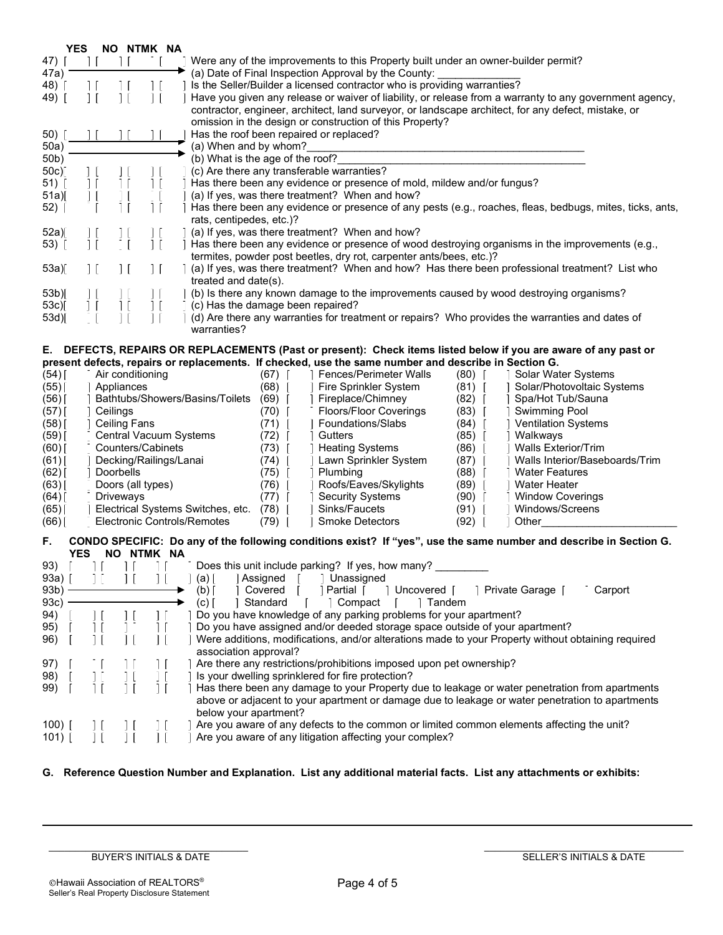|                   | <b>YES</b>                                                                                                                                                      |                                             | NO NTMK NA             |                                                                                                                             |  |  |  |  |  |  |  |  |
|-------------------|-----------------------------------------------------------------------------------------------------------------------------------------------------------------|---------------------------------------------|------------------------|-----------------------------------------------------------------------------------------------------------------------------|--|--|--|--|--|--|--|--|
| 47) [             | $\perp$                                                                                                                                                         | $\perp$                                     |                        | Were any of the improvements to this Property built under an owner-builder permit?                                          |  |  |  |  |  |  |  |  |
| 47a)              | (a) Date of Final Inspection Approval by the County:                                                                                                            |                                             |                        |                                                                                                                             |  |  |  |  |  |  |  |  |
| 48)               | Is the Seller/Builder a licensed contractor who is providing warranties?                                                                                        |                                             |                        |                                                                                                                             |  |  |  |  |  |  |  |  |
| 49) [             | $\perp$<br>Have you given any release or waiver of liability, or release from a warranty to any government agency,                                              |                                             |                        |                                                                                                                             |  |  |  |  |  |  |  |  |
|                   | contractor, engineer, architect, land surveyor, or landscape architect, for any defect, mistake, or<br>omission in the design or construction of this Property? |                                             |                        |                                                                                                                             |  |  |  |  |  |  |  |  |
| 50)               | Has the roof been repaired or replaced?                                                                                                                         |                                             |                        |                                                                                                                             |  |  |  |  |  |  |  |  |
| 50a)              | (a) When and by whom?                                                                                                                                           |                                             |                        |                                                                                                                             |  |  |  |  |  |  |  |  |
| 50 <sub>b</sub>   |                                                                                                                                                                 |                                             |                        | (b) What is the age of the roof?                                                                                            |  |  |  |  |  |  |  |  |
| 50c) <sup>-</sup> |                                                                                                                                                                 |                                             |                        | (c) Are there any transferable warranties?                                                                                  |  |  |  |  |  |  |  |  |
| 51)               |                                                                                                                                                                 |                                             |                        | Has there been any evidence or presence of mold, mildew and/or fungus?                                                      |  |  |  |  |  |  |  |  |
| 51a)[             | Ιl                                                                                                                                                              |                                             |                        | (a) If yes, was there treatment? When and how?                                                                              |  |  |  |  |  |  |  |  |
| 52)               | Has there been any evidence or presence of any pests (e.g., roaches, fleas, bedbugs, mites, ticks, ants,                                                        |                                             |                        |                                                                                                                             |  |  |  |  |  |  |  |  |
|                   |                                                                                                                                                                 |                                             |                        | rats, centipedes, etc.)?                                                                                                    |  |  |  |  |  |  |  |  |
| 52a)              |                                                                                                                                                                 |                                             |                        | (a) If yes, was there treatment? When and how?                                                                              |  |  |  |  |  |  |  |  |
| 53) [             |                                                                                                                                                                 |                                             |                        | Has there been any evidence or presence of wood destroying organisms in the improvements (e.g.,                             |  |  |  |  |  |  |  |  |
|                   |                                                                                                                                                                 |                                             |                        | termites, powder post beetles, dry rot, carpenter ants/bees, etc.)?                                                         |  |  |  |  |  |  |  |  |
| 53a)              |                                                                                                                                                                 |                                             | $\vert \vert$          | a) (a) If yes, was there treatment? When and how? Has there been professional treatment? List who                           |  |  |  |  |  |  |  |  |
|                   |                                                                                                                                                                 |                                             |                        | treated and date(s).                                                                                                        |  |  |  |  |  |  |  |  |
| $53b$ ]           |                                                                                                                                                                 |                                             |                        | (b) Is there any known damage to the improvements caused by wood destroying organisms?<br>(c) Has the damage been repaired? |  |  |  |  |  |  |  |  |
| 53c)[<br>53d      |                                                                                                                                                                 |                                             |                        | (d) Are there any warranties for treatment or repairs? Who provides the warranties and dates of                             |  |  |  |  |  |  |  |  |
|                   |                                                                                                                                                                 |                                             |                        | warranties?                                                                                                                 |  |  |  |  |  |  |  |  |
|                   |                                                                                                                                                                 |                                             |                        |                                                                                                                             |  |  |  |  |  |  |  |  |
| Е.                |                                                                                                                                                                 |                                             |                        | DEFECTS, REPAIRS OR REPLACEMENTS (Past or present): Check items listed below if you are aware of any past or                |  |  |  |  |  |  |  |  |
|                   |                                                                                                                                                                 |                                             |                        | present defects, repairs or replacements. If checked, use the same number and describe in Section G.                        |  |  |  |  |  |  |  |  |
| (54)              |                                                                                                                                                                 | Air conditioning                            |                        | (67)<br><b>Fences/Perimeter Walls</b><br>(80)<br>Solar Water Systems                                                        |  |  |  |  |  |  |  |  |
| (55)              |                                                                                                                                                                 | Appliances                                  |                        | (68)<br>Fire Sprinkler System<br>$(81)$ [<br>Solar/Photovoltaic Systems                                                     |  |  |  |  |  |  |  |  |
| (56)              |                                                                                                                                                                 |                                             |                        | Bathtubs/Showers/Basins/Toilets<br>(69)<br>Fireplace/Chimney<br>(82)<br>Spa/Hot Tub/Sauna                                   |  |  |  |  |  |  |  |  |
| $(57)$ [          |                                                                                                                                                                 | Ceilings                                    |                        | (70)<br><b>Floors/Floor Coverings</b><br>$(83)$ [<br><b>Swimming Pool</b>                                                   |  |  |  |  |  |  |  |  |
| (58)              |                                                                                                                                                                 | <b>Ceiling Fans</b>                         |                        | (71)<br>Foundations/Slabs<br>(84)<br>  Ventilation Systems                                                                  |  |  |  |  |  |  |  |  |
| (59) [            |                                                                                                                                                                 |                                             | Central Vacuum Systems | (72)<br>Gutters<br>(85)<br>Walkways                                                                                         |  |  |  |  |  |  |  |  |
| $(60)$ [          |                                                                                                                                                                 |                                             | Counters/Cabinets      | (73)<br>(86)<br><b>Walls Exterior/Trim</b><br><b>Heating Systems</b>                                                        |  |  |  |  |  |  |  |  |
| (61)              |                                                                                                                                                                 |                                             | Decking/Railings/Lanai | Lawn Sprinkler System<br>Walls Interior/Baseboards/Trim<br>$(74)$  <br>(87)                                                 |  |  |  |  |  |  |  |  |
| $(62)$ [          |                                                                                                                                                                 | Doorbells                                   |                        | (75)<br>(88)<br>Plumbing<br><b>Water Features</b>                                                                           |  |  |  |  |  |  |  |  |
| (63)              |                                                                                                                                                                 | Doors (all types)                           |                        | Roofs/Eaves/Skylights<br>(89)<br><b>Water Heater</b><br>(76)                                                                |  |  |  |  |  |  |  |  |
| $(64)$ [          |                                                                                                                                                                 | Driveways                                   |                        | (77)<br><b>Security Systems</b><br>(90)<br><b>Window Coverings</b>                                                          |  |  |  |  |  |  |  |  |
| (65)              |                                                                                                                                                                 |                                             |                        | Electrical Systems Switches, etc.<br>(78)<br>Sinks/Faucets<br>(91)<br>Windows/Screens                                       |  |  |  |  |  |  |  |  |
| (66)              |                                                                                                                                                                 |                                             |                        | <b>Electronic Controls/Remotes</b><br>(79)<br><b>Smoke Detectors</b><br>$(92)$  <br>Other                                   |  |  |  |  |  |  |  |  |
| F.                |                                                                                                                                                                 |                                             |                        | CONDO SPECIFIC: Do any of the following conditions exist? If "yes", use the same number and describe in Section G.          |  |  |  |  |  |  |  |  |
|                   | <b>YES</b>                                                                                                                                                      |                                             | NO NTMK NA             |                                                                                                                             |  |  |  |  |  |  |  |  |
| 93)               |                                                                                                                                                                 |                                             |                        | Does this unit include parking? If yes, how many?                                                                           |  |  |  |  |  |  |  |  |
| 93a)              |                                                                                                                                                                 | $\overline{1}$                              |                        | Assigned<br>Unassigned<br>(a)                                                                                               |  |  |  |  |  |  |  |  |
| 93b)              |                                                                                                                                                                 |                                             |                        | (b)<br>Partial [<br>Uncovered [<br>Covered<br>Private Garage [<br>Carport                                                   |  |  |  |  |  |  |  |  |
| 93c)              |                                                                                                                                                                 |                                             |                        | $(c)$ $\vert$<br>Standard<br>Compact<br>Tandem                                                                              |  |  |  |  |  |  |  |  |
| 94)               |                                                                                                                                                                 | $\vert$ $\vert$                             |                        | Do you have knowledge of any parking problems for your apartment?                                                           |  |  |  |  |  |  |  |  |
| 95)               |                                                                                                                                                                 |                                             |                        | Do you have assigned and/or deeded storage space outside of your apartment?                                                 |  |  |  |  |  |  |  |  |
| 96)               |                                                                                                                                                                 |                                             |                        | Were additions, modifications, and/or alterations made to your Property without obtaining required                          |  |  |  |  |  |  |  |  |
|                   |                                                                                                                                                                 |                                             |                        | association approval?                                                                                                       |  |  |  |  |  |  |  |  |
| 97)               |                                                                                                                                                                 |                                             |                        | Are there any restrictions/prohibitions imposed upon pet ownership?                                                         |  |  |  |  |  |  |  |  |
| 98)               |                                                                                                                                                                 |                                             |                        | Is your dwelling sprinklered for fire protection?                                                                           |  |  |  |  |  |  |  |  |
| 99)               |                                                                                                                                                                 | $\perp$                                     | $\perp$                | Has there been any damage to your Property due to leakage or water penetration from apartments                              |  |  |  |  |  |  |  |  |
|                   |                                                                                                                                                                 |                                             |                        | above or adjacent to your apartment or damage due to leakage or water penetration to apartments                             |  |  |  |  |  |  |  |  |
|                   |                                                                                                                                                                 |                                             |                        | below your apartment?                                                                                                       |  |  |  |  |  |  |  |  |
| 100) $\vert$      |                                                                                                                                                                 | ΙI                                          |                        | Are you aware of any defects to the common or limited common elements affecting the unit?                                   |  |  |  |  |  |  |  |  |
| $101)$ [          |                                                                                                                                                                 | $\vert$ $\vert$<br>$\overline{\phantom{a}}$ |                        | Are you aware of any litigation affecting your complex?                                                                     |  |  |  |  |  |  |  |  |

# G. Reference Question Number and Explanation. List any additional material facts. List any attachments or exhibits:

 $\mathcal{L}_\text{max}$ BUYER'S INITIALS & DATE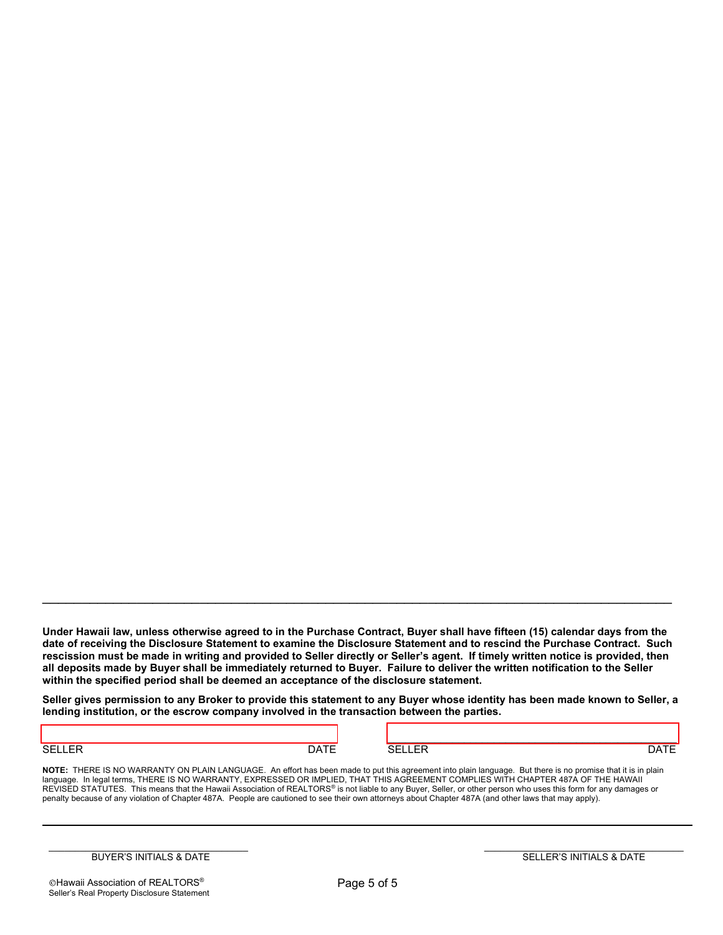Under Hawaii law, unless otherwise agreed to in the Purchase Contract, Buyer shall have fifteen (15) calendar days from the date of receiving the Disclosure Statement to examine the Disclosure Statement and to rescind the Purchase Contract. Such rescission must be made in writing and provided to Seller directly or Seller's agent. If timely written notice is provided, then all deposits made by Buyer shall be immediately returned to Buyer. Failure to deliver the written notification to the Seller within the specified period shall be deemed an acceptance of the disclosure statement.

\_\_\_\_\_\_\_\_\_\_\_\_\_\_\_\_\_\_\_\_\_\_\_\_\_\_\_\_\_\_\_\_\_\_\_\_\_\_\_\_\_\_\_\_\_\_\_\_\_\_\_\_\_\_\_\_\_\_\_\_\_\_\_\_\_\_\_\_\_\_\_\_\_\_\_\_\_\_\_\_

Seller gives permission to any Broker to provide this statement to any Buyer whose identity has been made known to Seller, a lending institution, or the escrow company involved in the transaction between the parties.

SELLER DATE SELLER DATE

 $\_$  ,  $\_$  ,  $\_$  ,  $\_$  ,  $\_$  ,  $\_$  ,  $\_$  ,  $\_$  ,  $\_$  ,  $\_$  ,  $\_$  ,  $\_$  ,  $\_$  ,  $\_$  ,  $\_$  ,  $\_$  ,  $\_$  ,  $\_$  ,  $\_$  ,  $\_$  ,  $\_$  ,  $\_$  ,  $\_$  ,  $\_$  ,  $\_$  ,  $\_$  ,  $\_$  ,  $\_$  ,  $\_$  ,  $\_$  ,  $\_$  ,  $\_$  ,  $\_$  ,  $\_$  ,  $\_$  ,  $\_$  ,  $\_$  ,

NOTE: THERE IS NO WARRANTY ON PLAIN LANGUAGE. An effort has been made to put this agreement into plain language. But there is no promise that it is in plain language. In legal terms, THERE IS NO WARRANTY, EXPRESSED OR IMPLIED, THAT THIS AGREEMENT COMPLIES WITH CHAPTER 487A OF THE HAWAII REVISED STATUTES. This means that the Hawaii Association of REALTORS® is not liable to any Buyer, Seller, or other person who uses this form for any damages or penalty because of any violation of Chapter 487A. People are cautioned to see their own attorneys about Chapter 487A (and other laws that may apply).

 $\mathcal{L}_\text{max}$ BUYER'S INITIALS & DATE